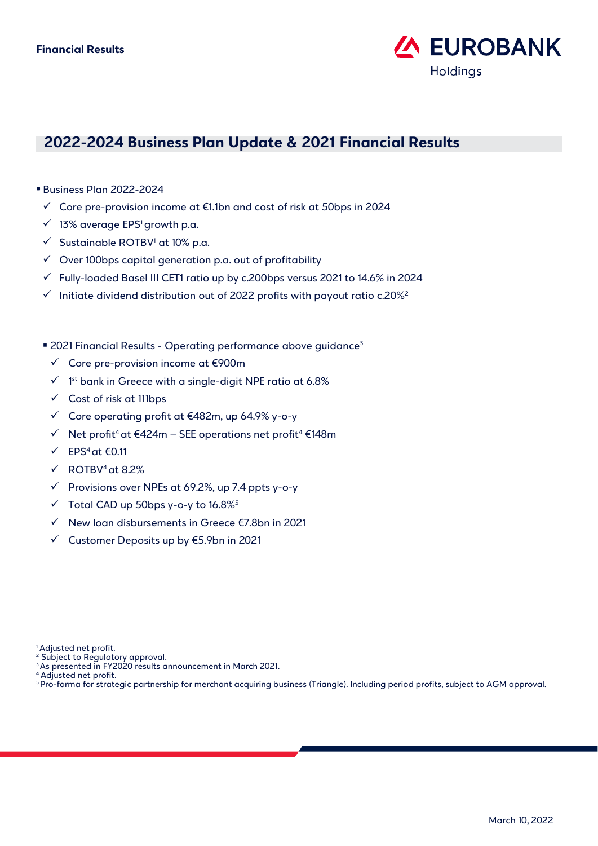

# **2022-2024 Business Plan Update & 2021 Financial Results**

- Business Plan 2022-2024
- ✓ Core pre-provision income at €1.1bn and cost of risk at 50bps in 2024
- $\checkmark$  13% average EPS<sup>1</sup> growth p.a.
- $\checkmark$  Sustainable ROTBV<sup>1</sup> at 10% p.a.
- $\checkmark$  Over 100bps capital generation p.a. out of profitability
- ✓ Fully-loaded Basel III CET1 ratio up by c.200bps versus 2021 to 14.6% in 2024
- $\checkmark$  Initiate dividend distribution out of 2022 profits with payout ratio c.20%<sup>2</sup>
- 2021 Financial Results Operating performance above guidance<sup>3</sup>
	- ✓ Core pre-provision income at €900m
	- $\checkmark$  1st bank in Greece with a single-digit NPE ratio at 6.8%
	- ✓ Cost of risk at 111bps
	- ✓ Core operating profit at €482m, up 64.9% y-o-y
	- ✓ Net profit4at €424m SEE operations net profit<sup>4</sup> €148m
	- $\checkmark$  EPS<sup>4</sup> at  $\epsilon$ 0.11
	- $\checkmark$  ROTBV<sup>4</sup> at 8.2%
	- $\checkmark$  Provisions over NPEs at 69.2%, up 7.4 ppts y-o-y
	- $\checkmark$  Total CAD up 50bps y-o-y to 16.8%<sup>5</sup>
	- ✓ New loan disbursements in Greece €7.8bn in 2021
	- ✓ Customer Deposits up by €5.9bn in 2021

- <sup>2</sup> Subject to Regulatory approval.
- <sup>3</sup>As presented in FY2020 results announcement in March 2021.
- <sup>4</sup> Adjusted net profit.
- <sup>5</sup>Pro-forma for strategic partnership for merchant acquiring business (Triangle). Including period profits, subject to AGM approval.

<sup>&</sup>lt;sup>1</sup> Adjusted net profit.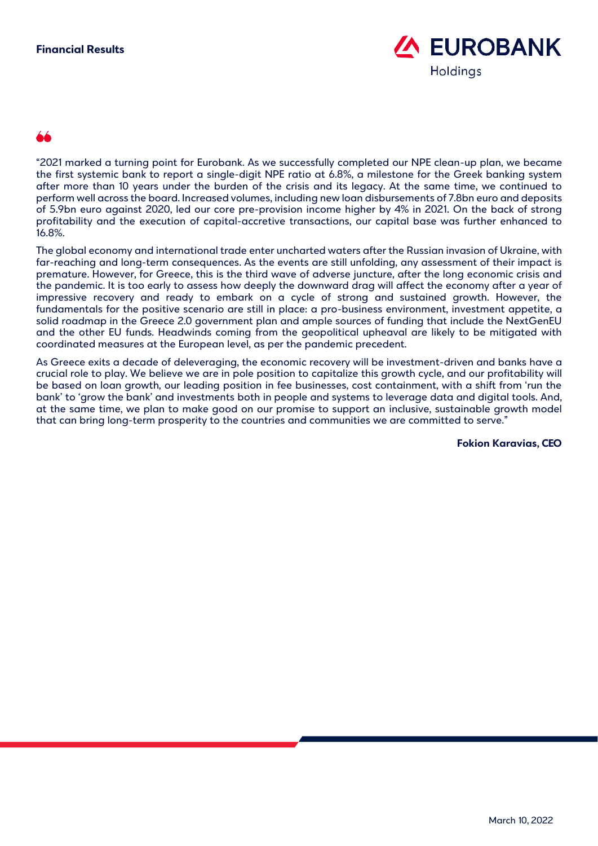

"2021 marked a turning point for Eurobank. As we successfully completed our NPE clean-up plan, we became the first systemic bank to report a single-digit NPE ratio at 6.8%, a milestone for the Greek banking system after more than 10 years under the burden of the crisis and its legacy. At the same time, we continued to perform well across the board. Increased volumes, including new loan disbursements of 7.8bn euro and deposits of 5.9bn euro against 2020, led our core pre-provision income higher by 4% in 2021. On the back of strong profitability and the execution of capital-accretive transactions, our capital base was further enhanced to 16.8%.

The global economy and international trade enter uncharted waters after the Russian invasion of Ukraine, with far-reaching and long-term consequences. As the events are still unfolding, any assessment of their impact is premature. However, for Greece, this is the third wave of adverse juncture, after the long economic crisis and the pandemic. It is too early to assess how deeply the downward drag will affect the economy after a year of impressive recovery and ready to embark on a cycle of strong and sustained growth. However, the fundamentals for the positive scenario are still in place: a pro-business environment, investment appetite, a solid roadmap in the Greece 2.0 government plan and ample sources of funding that include the NextGenEU and the other EU funds. Headwinds coming from the geopolitical upheaval are likely to be mitigated with coordinated measures at the European level, as per the pandemic precedent.

As Greece exits a decade of deleveraging, the economic recovery will be investment-driven and banks have a crucial role to play. We believe we are in pole position to capitalize this growth cycle, and our profitability will be based on loan growth, our leading position in fee businesses, cost containment, with a shift from 'run the bank' to 'grow the bank' and investments both in people and systems to leverage data and digital tools. And, at the same time, we plan to make good on our promise to support an inclusive, sustainable growth model that can bring long-term prosperity to the countries and communities we are committed to serve."

**Fokion Karavias, CEO**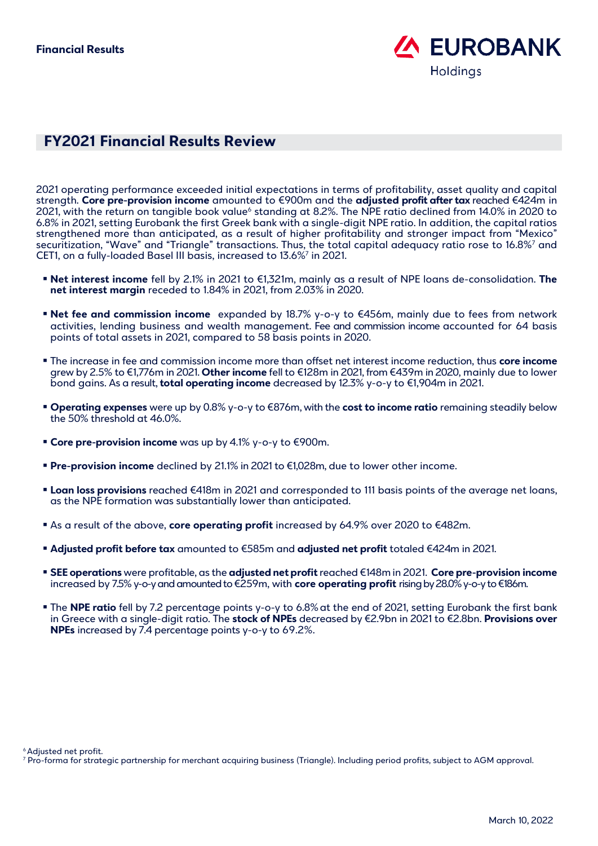

## **FY2021 Financial Results Review**

2021 operating performance exceeded initial expectations in terms of profitability, asset quality and capital strength. **Core pre-provision income** amounted to €900m and the **adjusted profit after tax** reached €424m in 2021, with the return on tangible book value<sup>6</sup> standing at 8.2%. The NPE ratio declined from 14.0% in 2020 to 6.8% in 2021, setting Eurobank the first Greek bank with a single-digit NPE ratio. In addition, the capital ratios strengthened more than anticipated, as a result of higher profitability and stronger impact from "Mexico" securitization, "Wave" and "Triangle" transactions. Thus, the total capital adequacy ratio rose to 16.8%<sup>7</sup> and CET1, on a fully-loaded Basel III basis, increased to 13.6%<sup>7</sup> in 2021.

- **Net interest income** fell by 2.1% in 2021 to €1,321m, mainly as a result of NPE loans de-consolidation. **The net interest margin** receded to 1.84% in 2021, from 2.03% in 2020.
- **Net fee and commission income** expanded by 18.7% y-o-y to €456m, mainly due to fees from network activities, lending business and wealth management. Fee and commission income accounted for 64 basis points of total assets in 2021, compared to 58 basis points in 2020.
- The increase in fee and commission income more than offset net interest income reduction, thus **core income** grew by 2.5% to €1,776m in 2021. **Other income** fell to €128m in 2021, from €439m in 2020, mainly due to lower bond gains. As a result, **total operating income** decreased by 12.3% y-o-y to €1,904m in 2021.
- **Operating expenses** were up by 0.8% y-o-y to €876m, with the **cost to income ratio** remaining steadily below the 50% threshold at 46.0%.
- **Core pre-provision income** was up by 4.1% y-o-y to €900m.
- **Pre-provision income** declined by 21.1% in 2021 to €1,028m, due to lower other income.
- **Loan loss provisions** reached €418m in 2021 and corresponded to 111 basis points of the average net loans, as the NPE formation was substantially lower than anticipated.
- As a result of the above, **core operating profit** increased by 64.9% over 2020 to €482m.
- **Adjusted profit before tax** amounted to €585m and **adjusted net profit** totaled €424m in 2021.
- **SEE operations** were profitable, as the **adjusted net profit**reached €148m in 2021. **Core pre-provision income** increased by 7.5% y-o-y and amounted to €259m, with **core operating profit** risingby 28.0% y-o-y to €186m.
- **The NPE ratio** fell by 7.2 percentage points y-o-y to 6.8% at the end of 2021, setting Eurobank the first bank in Greece with a single-digit ratio. The **stock of NPEs** decreased by €2.9bn in 2021 to €2.8bn. **Provisions over NPEs** increased by 7.4 percentage points y-o-y to 69.2%.

<sup>6</sup> Adjusted net profit.

<sup>7</sup> Pro-forma for strategic partnership for merchant acquiring business (Triangle). Including period profits, subject to AGM approval.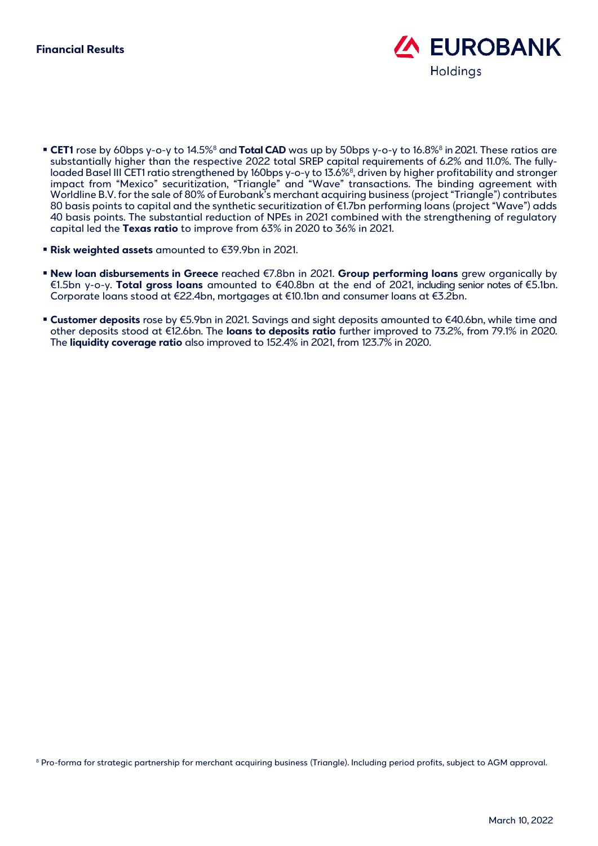

- **CET1** rose by 60bps y-o-y to 14.5%<sup>8</sup> and **Total CAD** was up by 50bps y-o-y to 16.8%<sup>8</sup> in 2021. These ratios are substantially higher than the respective 2022 total SREP capital requirements of 6.2% and 11.0%. The fullyloaded Basel III CET1 ratio strengthened by 160bps y-o-y to 13.6%<sup>8</sup>, driven by higher profitability and stronger impact from "Mexico" securitization, "Triangle" and "Wave" transactions. The binding agreement with Worldline B.V. for the sale of 80% of Eurobank's merchant acquiring business (project "Triangle") contributes 80 basis points to capital and the synthetic securitization of €1.7bn performing loans (project "Wave") adds 40 basis points. The substantial reduction of NPEs in 2021 combined with the strengthening of regulatory capital led the **Texas ratio** to improve from 63% in 2020 to 36% in 2021.
- **Risk weighted assets** amounted to €39.9bn in 2021.
- **New loan disbursements in Greece** reached €7.8bn in 2021. **Group performing loans** grew organically by €1.5bn y-o-y. **Total gross loans** amounted to €40.8bn at the end of 2021, including senior notes of €5.1bn. Corporate loans stood at €22.4bn, mortgages at €10.1bn and consumer loans at €3.2bn.
- **Customer deposits** rose by €5.9bn in 2021. Savings and sight deposits amounted to €40.6bn, while time and other deposits stood at €12.6bn. The **loans to deposits ratio** further improved to 73.2%, from 79.1% in 2020. The **liquidity coverage ratio** also improved to 152.4% in 2021, from 123.7% in 2020.

<sup>8</sup> Pro-forma for strategic partnership for merchant acquiring business (Triangle). Including period profits, subject to AGM approval.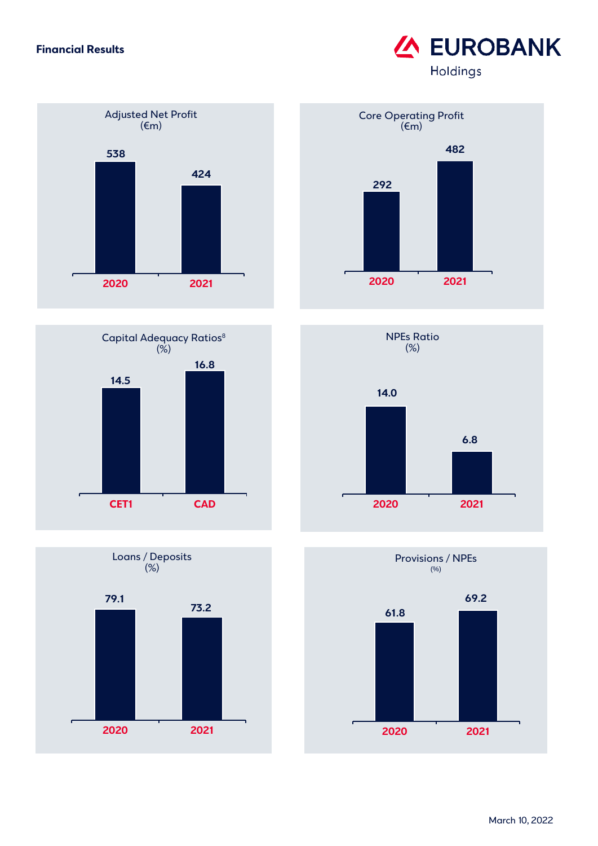### **Financial Results**













# **EUROBANK** Holdings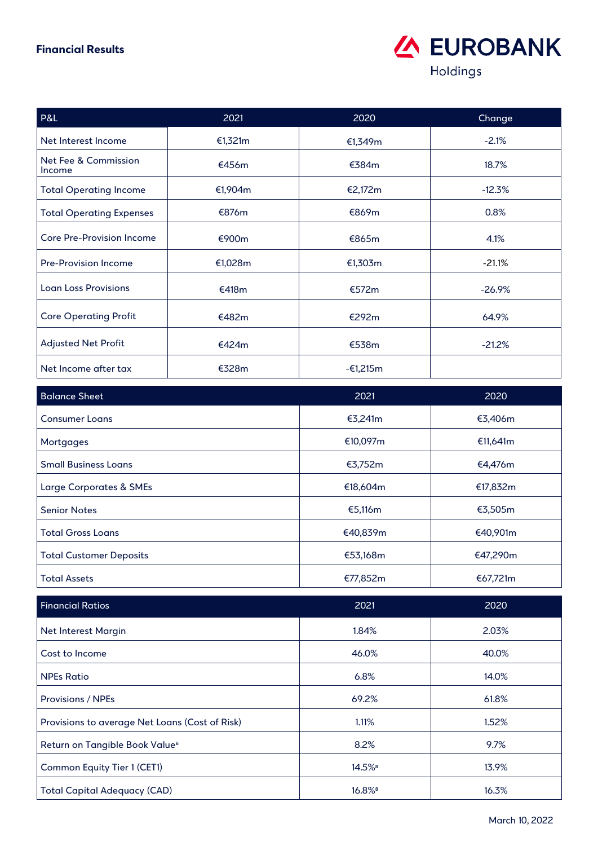### **Financial Results**



| P&L                              | 2021    | 2020       | Change    |
|----------------------------------|---------|------------|-----------|
| Net Interest Income              | €1,321m | €1,349m    | $-2.1%$   |
| Net Fee & Commission<br>Income   | €456m   | €384m      | 18.7%     |
| <b>Total Operating Income</b>    | €1,904m | €2,172m    | $-12.3%$  |
| <b>Total Operating Expenses</b>  | €876m   | €869m      | 0.8%      |
| <b>Core Pre-Provision Income</b> | €900m   | €865m      | 4.1%      |
| <b>Pre-Provision Income</b>      | €1,028m | €1,303m    | $-21.1%$  |
| <b>Loan Loss Provisions</b>      | €418m   | €572m      | $-26.9\%$ |
| <b>Core Operating Profit</b>     | €482m   | €292m      | 64.9%     |
| <b>Adjusted Net Profit</b>       | €424m   | €538m      | $-21.2%$  |
| Net Income after tax             | €328m   | $-61,215m$ |           |

| <b>Balance Sheet</b>           | 2021     | 2020     |
|--------------------------------|----------|----------|
| <b>Consumer Loans</b>          | €3,241m  | €3,406m  |
| Mortgages                      | €10,097m | €11,641m |
| <b>Small Business Loans</b>    | €3,752m  | €4,476m  |
| Large Corporates & SMEs        | €18,604m | €17,832m |
| <b>Senior Notes</b>            | €5,116m  | €3,505m  |
| <b>Total Gross Loans</b>       | €40,839m | €40,901m |
| <b>Total Customer Deposits</b> | €53,168m | €47,290m |
| <b>Total Assets</b>            | €77,852m | €67,721m |

| <b>Financial Ratios</b>                        | 2021                 | 2020  |
|------------------------------------------------|----------------------|-------|
| <b>Net Interest Margin</b>                     | 1.84%                | 2.03% |
| Cost to Income                                 | 46.0%                | 40.0% |
| <b>NPEs Ratio</b>                              | 6.8%                 | 14.0% |
| <b>Provisions / NPEs</b>                       | 69.2%                | 61.8% |
| Provisions to average Net Loans (Cost of Risk) | 1.11%                | 1.52% |
| Return on Tangible Book Value <sup>6</sup>     | 8.2%                 | 9.7%  |
| Common Equity Tier 1 (CET1)                    | 14.5% <sup>8</sup>   | 13.9% |
| Total Capital Adequacy (CAD)                   | $16.8%$ <sup>8</sup> | 16.3% |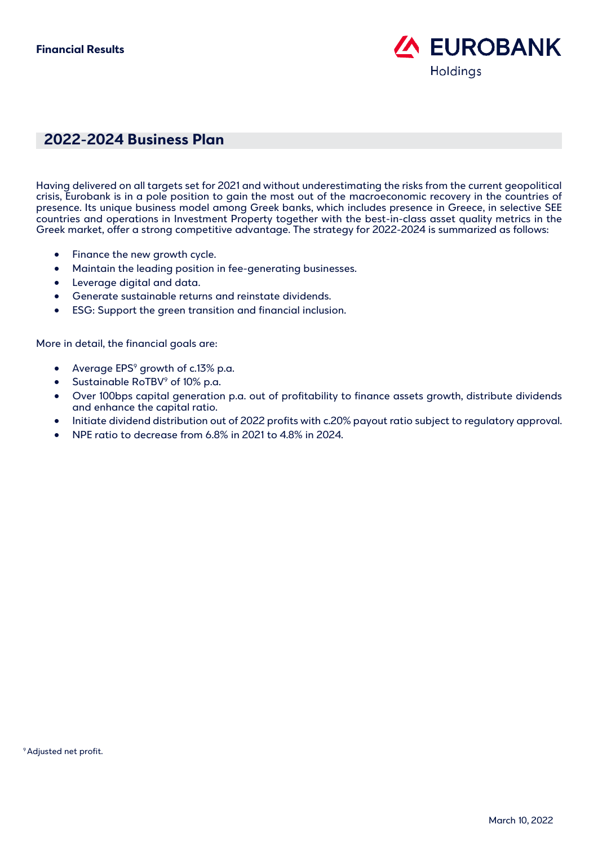

### **2022-2024 Business Plan**

Having delivered on all targets set for 2021 and without underestimating the risks from the current geopolitical crisis, Eurobank is in a pole position to gain the most out of the macroeconomic recovery in the countries of presence. Its unique business model among Greek banks, which includes presence in Greece, in selective SEE countries and operations in Investment Property together with the best-in-class asset quality metrics in the Greek market, offer a strong competitive advantage. The strategy for 2022-2024 is summarized as follows:

- Finance the new growth cycle.
- Maintain the leading position in fee-generating businesses.
- Leverage digital and data.
- Generate sustainable returns and reinstate dividends.
- ESG: Support the green transition and financial inclusion.

More in detail, the financial goals are:

- Average  $EPS<sup>9</sup>$  growth of c.13% p.a.
- Sustainable RoTBV<sup>9</sup> of 10% p.a.
- Over 100bps capital generation p.a. out of profitability to finance assets growth, distribute dividends and enhance the capital ratio.
- Initiate dividend distribution out of 2022 profits with c.20% payout ratio subject to regulatory approval.
- NPE ratio to decrease from 6.8% in 2021 to 4.8% in 2024.

<sup>9</sup> Adjusted net profit.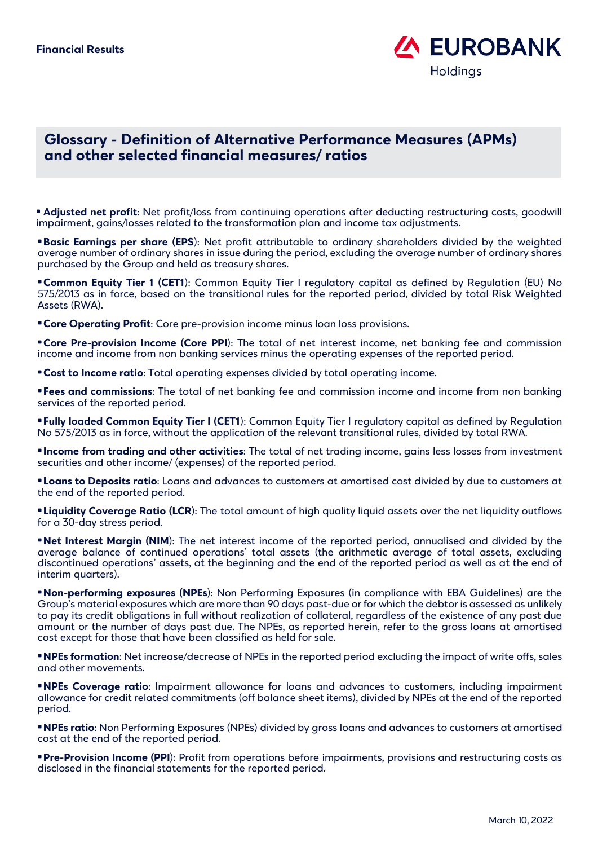

### **Glossary - Definition of Alternative Performance Measures (APMs) and other selected financial measures/ ratios**

• **Adjusted net profit**: Net profit/loss from continuing operations after deducting restructuring costs, goodwill impairment, gains/losses related to the transformation plan and income tax adjustments.

•**Basic Earnings per share (EPS**): Net profit attributable to ordinary shareholders divided by the weighted average number of ordinary shares in issue during the period, excluding the average number of ordinary shares purchased by the Group and held as treasury shares.

•**Common Equity Tier 1 (CET1**): Common Equity Tier I regulatory capital as defined by Regulation (EU) No 575/2013 as in force, based on the transitional rules for the reported period, divided by total Risk Weighted Assets (RWA).

**• Core Operating Profit:** Core pre-provision income minus loan loss provisions.

•**Core Pre-provision Income (Core PPI**): The total of net interest income, net banking fee and commission income and income from non banking services minus the operating expenses of the reported period.

•**Cost to Income ratio**: Total operating expenses divided by total operating income.

•**Fees and commissions**: The total of net banking fee and commission income and income from non banking services of the reported period.

•**Fully loaded Common Equity Tier I (CET1**): Common Equity Tier I regulatory capital as defined by Regulation No 575/2013 as in force, without the application of the relevant transitional rules, divided by total RWA.

•**Income from trading and other activities**: The total of net trading income, gains less losses from investment securities and other income/ (expenses) of the reported period.

•**Loans to Deposits ratio**: Loans and advances to customers at amortised cost divided by due to customers at the end of the reported period.

•**Liquidity Coverage Ratio (LCR**): The total amount of high quality liquid assets over the net liquidity outflows for a 30-day stress period.

•**Net Interest Margin (NIM**): The net interest income of the reported period, annualised and divided by the average balance of continued operations' total assets (the arithmetic average of total assets, excluding discontinued operations' assets, at the beginning and the end of the reported period as well as at the end of interim quarters).

•**Non-performing exposures (NPEs**): Non Performing Exposures (in compliance with EBA Guidelines) are the Group's material exposures which are more than 90 days past-due or for which the debtor is assessed as unlikely to pay its credit obligations in full without realization of collateral, regardless of the existence of any past due amount or the number of days past due. The NPEs, as reported herein, refer to the gross loans at amortised cost except for those that have been classified as held for sale.

•**NPEs formation**: Net increase/decrease of NPEs in the reported period excluding the impact of write offs, sales and other movements.

•**NPEs Coverage ratio**: Impairment allowance for loans and advances to customers, including impairment allowance for credit related commitments (off balance sheet items), divided by NPEs at the end of the reported period.

•**NPEs ratio**: Non Performing Exposures (NPEs) divided by gross loans and advances to customers at amortised cost at the end of the reported period.

•**Pre-Provision Income (PPI**): Profit from operations before impairments, provisions and restructuring costs as disclosed in the financial statements for the reported period.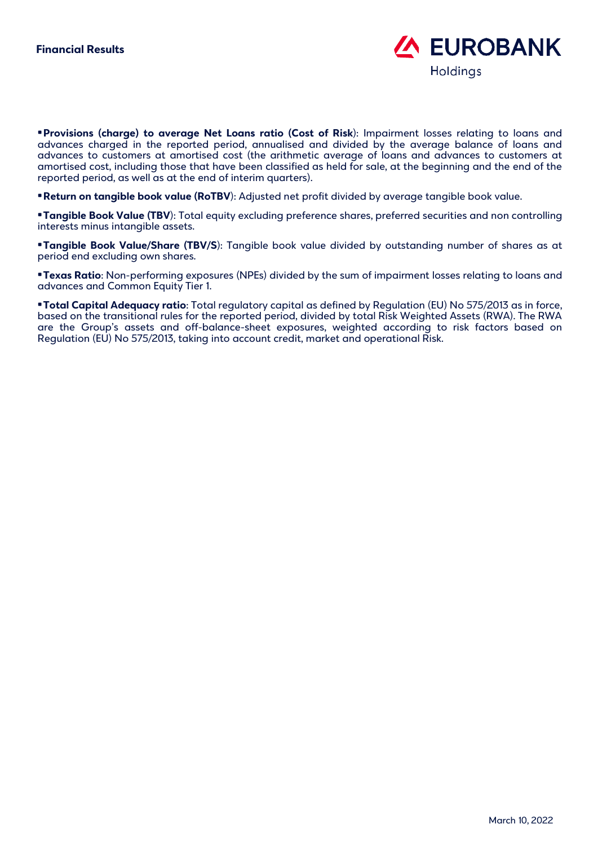

•**Provisions (charge) to average Net Loans ratio (Cost of Risk**): Impairment losses relating to loans and advances charged in the reported period, annualised and divided by the average balance of loans and advances to customers at amortised cost (the arithmetic average of loans and advances to customers at amortised cost, including those that have been classified as held for sale, at the beginning and the end of the reported period, as well as at the end of interim quarters).

•**Return on tangible book value (RoTBV**): Adjusted net profit divided by average tangible book value.

•**Tangible Book Value (TBV**): Total equity excluding preference shares, preferred securities and non controlling interests minus intangible assets.

•**Tangible Book Value/Share (TBV/S**): Tangible book value divided by outstanding number of shares as at period end excluding own shares.

•**Texas Ratio**: Non-performing exposures (NPEs) divided by the sum of impairment losses relating to loans and advances and Common Equity Tier 1.

•**Total Capital Adequacy ratio**: Total regulatory capital as defined by Regulation (EU) No 575/2013 as in force, based on the transitional rules for the reported period, divided by total Risk Weighted Assets (RWA). The RWA are the Group's assets and off-balance-sheet exposures, weighted according to risk factors based on Regulation (EU) No 575/2013, taking into account credit, market and operational Risk.